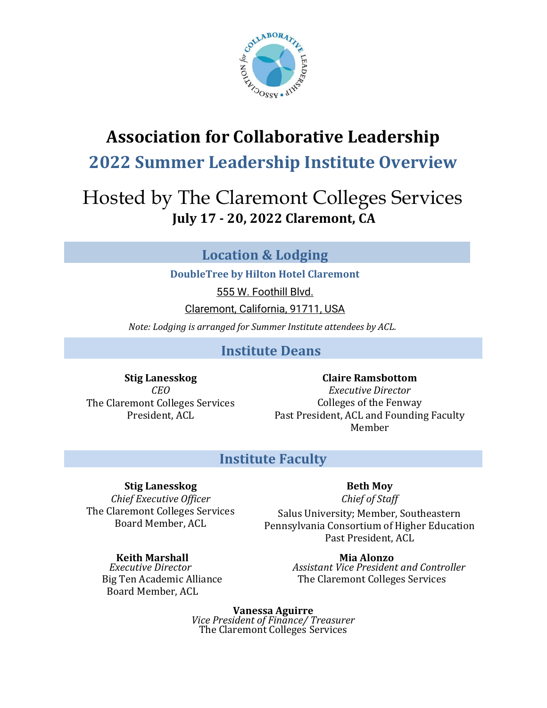

# Association for Collaborative Leadership

## 2022 Summer Leadership Institute Overview

# Hosted by The Claremont Colleges Services July 17 - 20, 2022 Claremont, CA

## Location & Lodging

DoubleTree by Hilton Hotel Claremont

555 W. Foothill Blvd.

Claremont, California, 91711, USA

Note: Lodging is arranged for Summer Institute attendees by ACL.

### Institute Deans

Stig Lanesskog CEO The Claremont Colleges Services President, ACL

Claire Ramsbottom Executive Director Colleges of the Fenway Past President, ACL and Founding Faculty Member

### Institute Faculty

### Stig Lanesskog

Chief Executive Officer The Claremont Colleges Services Board Member, ACL

### Beth Moy

Chief of Staff

Salus University; Member, Southeastern Pennsylvania Consortium of Higher Education Past President, ACL

Board Member, ACL

Keith Marshall **Mia Alonzo**<br>Executive Director **Mia Alonzo**<br>Assistant Vice President Assistant Vice President and Controller Big Ten Academic Alliance The Claremont Colleges Services

> Vanessa Aguirre Vice President of Finance/ Treasurer The Claremont Colleges Services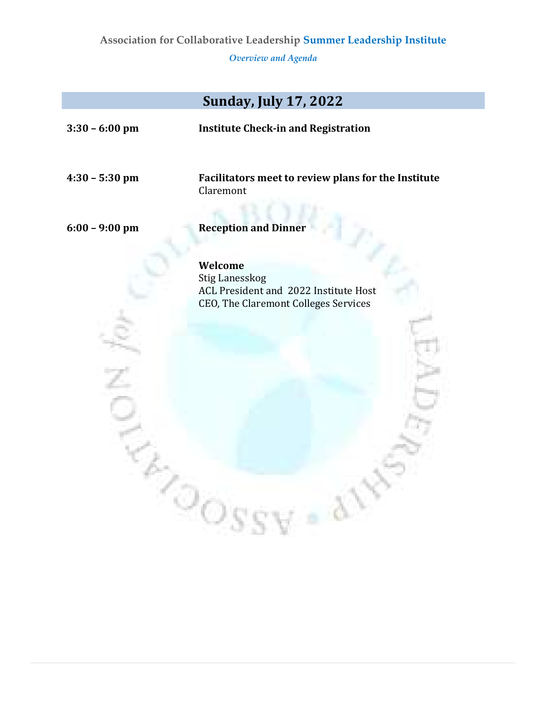Overview and Agenda

|                  | <b>Sunday, July 17, 2022</b>                                                                                      |  |  |
|------------------|-------------------------------------------------------------------------------------------------------------------|--|--|
| $3:30 - 6:00$ pm | <b>Institute Check-in and Registration</b>                                                                        |  |  |
| $4:30 - 5:30$ pm | Facilitators meet to review plans for the Institute<br>Claremont                                                  |  |  |
| $6:00 - 9:00$ pm | <b>Reception and Dinner</b>                                                                                       |  |  |
|                  | Welcome<br><b>Stig Lanesskog</b><br>ACL President and 2022 Institute Host<br>CEO, The Claremont Colleges Services |  |  |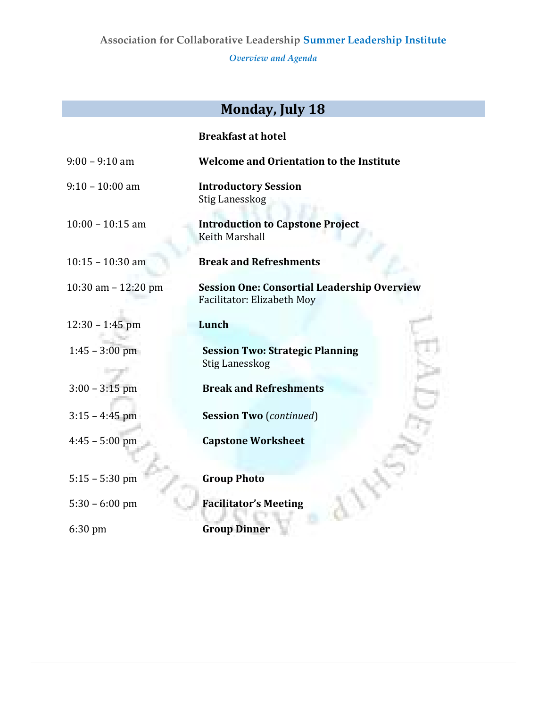Overview and Agenda

# Monday, July 18

| <b>Breakfast at hotel</b> |  |
|---------------------------|--|
|---------------------------|--|

| $9:00 - 9:10$ am      | <b>Welcome and Orientation to the Institute</b>                                  |
|-----------------------|----------------------------------------------------------------------------------|
| $9:10 - 10:00$ am     | <b>Introductory Session</b><br><b>Stig Lanesskog</b>                             |
| $10:00 - 10:15$ am    | <b>Introduction to Capstone Project</b><br>Keith Marshall                        |
| $10:15 - 10:30$ am    | <b>Break and Refreshments</b>                                                    |
| 10:30 am $- 12:20$ pm | <b>Session One: Consortial Leadership Overview</b><br>Facilitator: Elizabeth Moy |
| $12:30 - 1:45$ pm     | Lunch                                                                            |
| $1:45 - 3:00$ pm      | <b>Session Two: Strategic Planning</b><br><b>Stig Lanesskog</b>                  |
| $3:00 - 3:15$ pm      | <b>Break and Refreshments</b>                                                    |
| $3:15 - 4:45$ pm      | <b>Session Two</b> (continued)                                                   |
| $4:45 - 5:00$ pm      | <b>Capstone Worksheet</b>                                                        |
| $5:15 - 5:30$ pm      | <b>Group Photo</b>                                                               |
| $5:30 - 6:00$ pm      | <b>Facilitator's Meeting</b>                                                     |
| $6:30$ pm             | <b>Group Dinner</b>                                                              |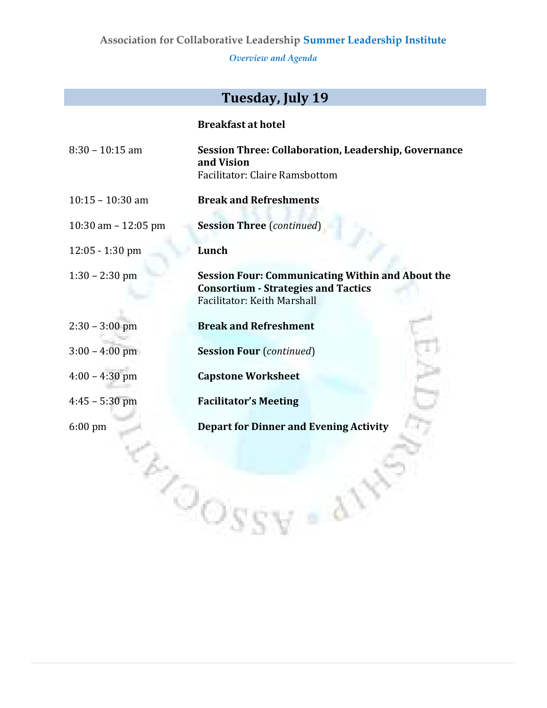Overview and Agenda

## Tuesday, July 19

|                       | <b>Breakfast at hotel</b>                                                                                                                   |
|-----------------------|---------------------------------------------------------------------------------------------------------------------------------------------|
| $8:30 - 10:15$ am     | <b>Session Three: Collaboration, Leadership, Governance</b><br>and Vision<br>Facilitator: Claire Ramsbottom                                 |
| $10:15 - 10:30$ am    | <b>Break and Refreshments</b>                                                                                                               |
| 10:30 am $- 12:05$ pm | <b>Session Three</b> (continued)                                                                                                            |
| $12:05 - 1:30$ pm     | Lunch                                                                                                                                       |
| $1:30 - 2:30$ pm      | <b>Session Four: Communicating Within and About the</b><br><b>Consortium - Strategies and Tactics</b><br><b>Facilitator: Keith Marshall</b> |
| $2:30 - 3:00$ pm      | <b>Break and Refreshment</b>                                                                                                                |
| $3:00 - 4:00$ pm      | <b>Session Four (continued)</b>                                                                                                             |
| $4:00 - 4:30$ pm      | <b>Capstone Worksheet</b>                                                                                                                   |
| $4:45 - 5:30$ pm      | <b>Facilitator's Meeting</b>                                                                                                                |
| 6:00 pm               | <b>Depart for Dinner and Evening Activity</b>                                                                                               |
|                       |                                                                                                                                             |